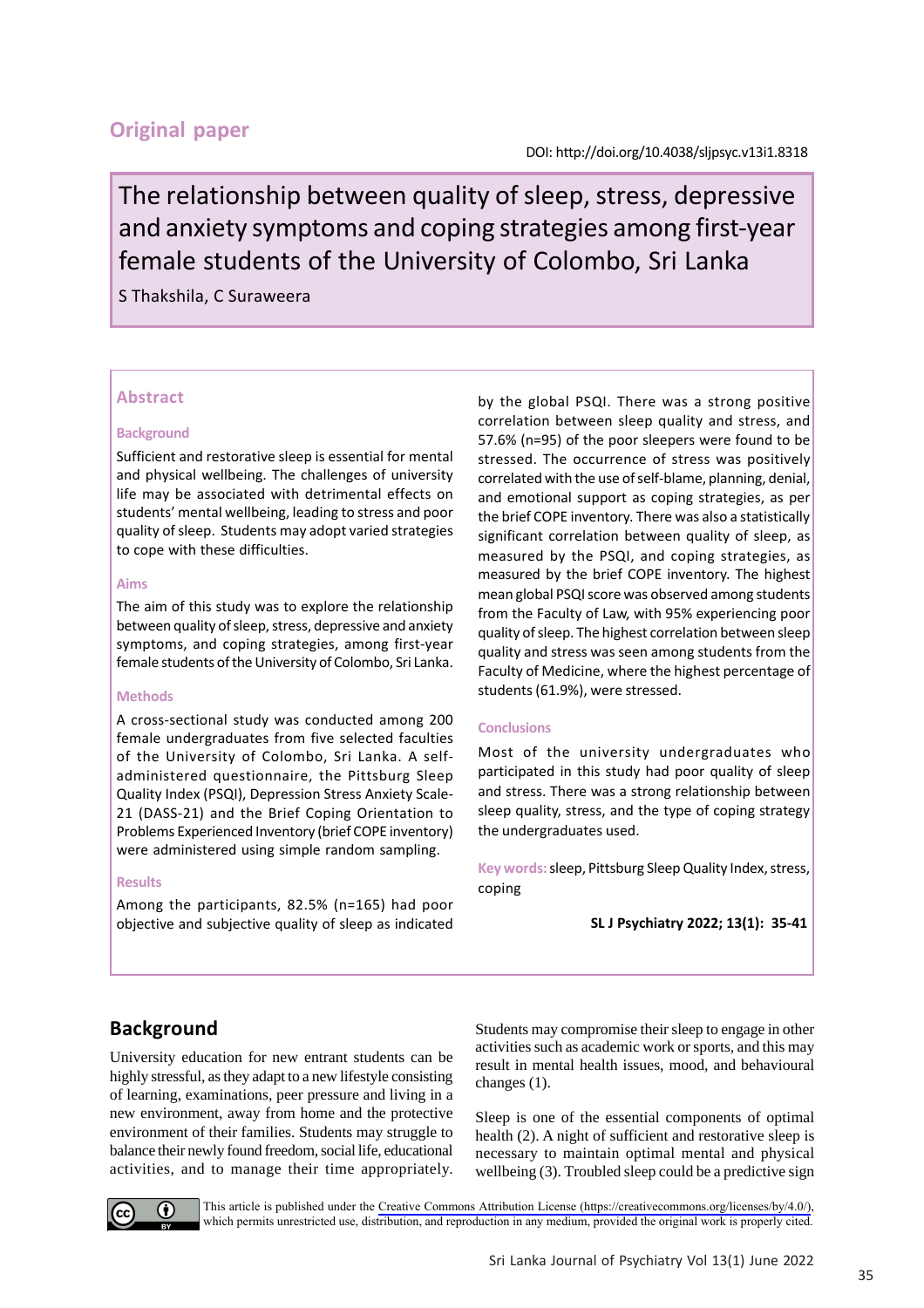## **Original paper**

The relationship between quality of sleep, stress, depressive and anxiety symptoms and coping strategies among first-year female students of the University of Colombo, Sri Lanka

### S Thakshila, C Suraweera

### **Abstract**

#### **Background**

Sufficient and restorative sleep is essential for mental and physical wellbeing. The challenges of university life may be associated with detrimental effects on students' mental wellbeing, leading to stress and poor quality of sleep. Students may adopt varied strategies to cope with these difficulties.

#### **Aims**

The aim of this study was to explore the relationship between quality of sleep, stress, depressive and anxiety symptoms, and coping strategies, among first-year female students of the University of Colombo, Sri Lanka.

#### **Methods**

A cross-sectional study was conducted among 200 female undergraduates from five selected faculties of the University of Colombo, Sri Lanka. A selfadministered questionnaire, the Pittsburg Sleep Quality Index (PSQI), Depression Stress Anxiety Scale-21 (DASS-21) and the Brief Coping Orientation to Problems Experienced Inventory (brief COPE inventory) were administered using simple random sampling.

#### **Results**

Among the participants, 82.5% (n=165) had poor objective and subjective quality of sleep as indicated by the global PSQI. There was a strong positive correlation between sleep quality and stress, and 57.6% (n=95) of the poor sleepers were found to be stressed. The occurrence of stress was positively correlated with the use of self-blame, planning, denial, and emotional support as coping strategies, as per the brief COPE inventory. There was also a statistically significant correlation between quality of sleep, as measured by the PSQI, and coping strategies, as measured by the brief COPE inventory. The highest mean global PSQI score was observed among students from the Faculty of Law, with 95% experiencing poor quality of sleep. The highest correlation between sleep quality and stress was seen among students from the Faculty of Medicine, where the highest percentage of students (61.9%), were stressed.

#### **Conclusions**

Most of the university undergraduates who participated in this study had poor quality of sleep and stress. There was a strong relationship between sleep quality, stress, and the type of coping strategy the undergraduates used.

**Key words:** sleep, Pittsburg Sleep Quality Index, stress, coping

# **Background**

University education for new entrant students can be highly stressful, as they adapt to a new lifestyle consisting of learning, examinations, peer pressure and living in a new environment, away from home and the protective environment of their families. Students may struggle to balance their newly found freedom, social life, educational activities, and to manage their time appropriately. Students may compromise their sleep to engage in other activities such as academic work or sports, and this may result in mental health issues, mood, and behavioural changes (1).

Sleep is one of the essential components of optimal health (2). A night of sufficient and restorative sleep is necessary to maintain optimal mental and physical wellbeing (3). Troubled sleep could be a predictive sign



This article is published under the [Creative Commons Attribution License \(https://creativecommons.org/licenses/by/4.0/\)](https://creativecommons.org/licenses/by/4.0/), which permits unrestricted use, distribution, and reproduction in any medium, provided the original work is properly cited.

**SL J Psychiatry 2022; 13(1): 35-41**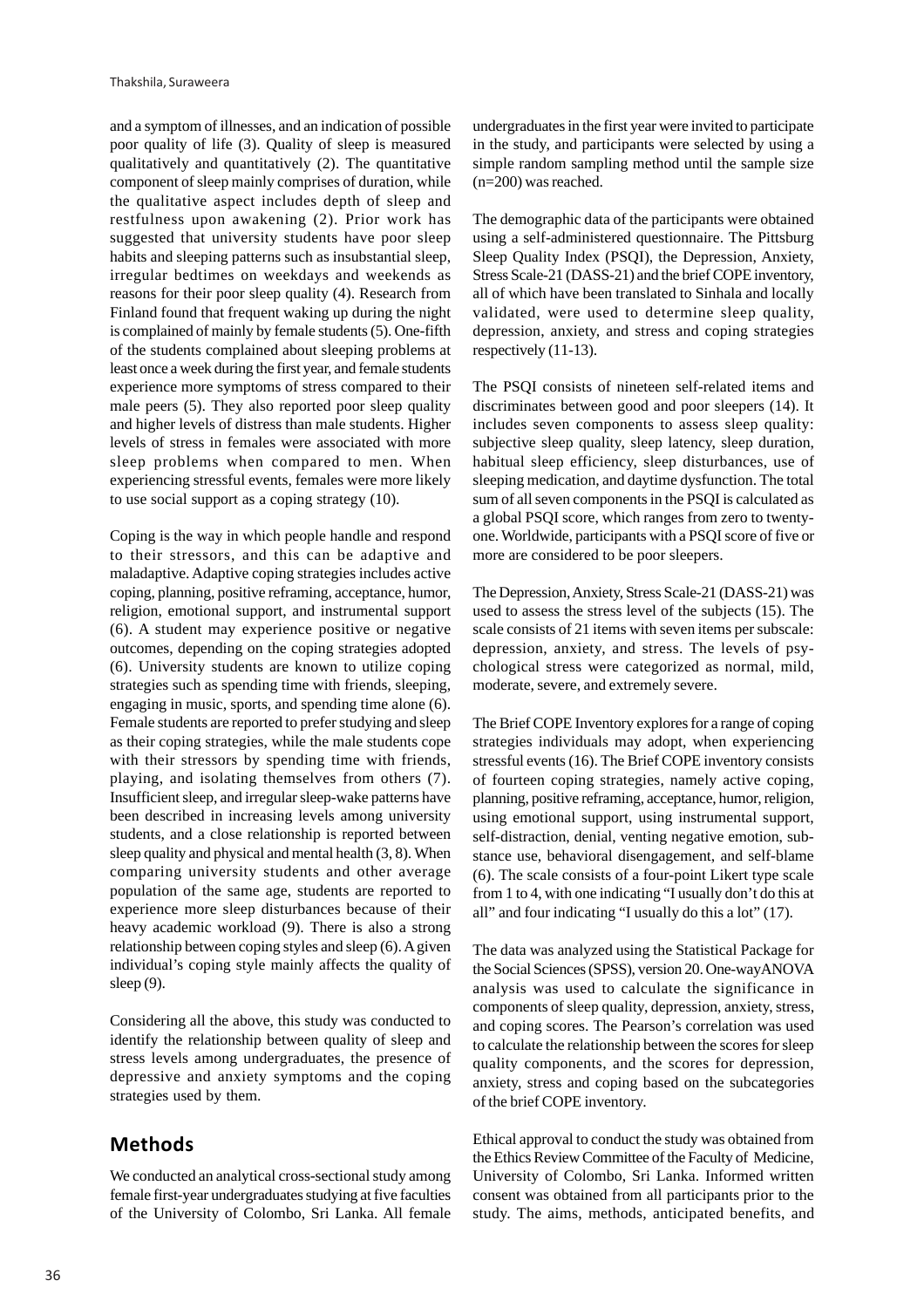and a symptom of illnesses, and an indication of possible poor quality of life (3). Quality of sleep is measured qualitatively and quantitatively (2). The quantitative component of sleep mainly comprises of duration, while the qualitative aspect includes depth of sleep and restfulness upon awakening (2). Prior work has suggested that university students have poor sleep habits and sleeping patterns such as insubstantial sleep, irregular bedtimes on weekdays and weekends as reasons for their poor sleep quality (4). Research from Finland found that frequent waking up during the night is complained of mainly by female students (5). One-fifth of the students complained about sleeping problems at least once a week during the first year, and female students experience more symptoms of stress compared to their male peers (5). They also reported poor sleep quality and higher levels of distress than male students. Higher levels of stress in females were associated with more sleep problems when compared to men. When experiencing stressful events, females were more likely to use social support as a coping strategy (10).

Coping is the way in which people handle and respond to their stressors, and this can be adaptive and maladaptive. Adaptive coping strategies includes active coping, planning, positive reframing, acceptance, humor, religion, emotional support, and instrumental support (6). A student may experience positive or negative outcomes, depending on the coping strategies adopted (6). University students are known to utilize coping strategies such as spending time with friends, sleeping, engaging in music, sports, and spending time alone (6). Female students are reported to prefer studying and sleep as their coping strategies, while the male students cope with their stressors by spending time with friends, playing, and isolating themselves from others (7). Insufficient sleep, and irregular sleep-wake patterns have been described in increasing levels among university students, and a close relationship is reported between sleep quality and physical and mental health (3, 8). When comparing university students and other average population of the same age, students are reported to experience more sleep disturbances because of their heavy academic workload (9). There is also a strong relationship between coping styles and sleep (6). A given individual's coping style mainly affects the quality of sleep (9).

Considering all the above, this study was conducted to identify the relationship between quality of sleep and stress levels among undergraduates, the presence of depressive and anxiety symptoms and the coping strategies used by them.

## **Methods**

We conducted an analytical cross-sectional study among female first-year undergraduates studying at five faculties of the University of Colombo, Sri Lanka. All female undergraduates in the first year were invited to participate in the study, and participants were selected by using a simple random sampling method until the sample size (n=200) was reached.

The demographic data of the participants were obtained using a self-administered questionnaire. The Pittsburg Sleep Quality Index (PSQI), the Depression, Anxiety, Stress Scale-21 (DASS-21) and the brief COPE inventory, all of which have been translated to Sinhala and locally validated, were used to determine sleep quality, depression, anxiety, and stress and coping strategies respectively (11-13).

The PSQI consists of nineteen self-related items and discriminates between good and poor sleepers (14). It includes seven components to assess sleep quality: subjective sleep quality, sleep latency, sleep duration, habitual sleep efficiency, sleep disturbances, use of sleeping medication, and daytime dysfunction. The total sum of all seven components in the PSQI is calculated as a global PSQI score, which ranges from zero to twentyone. Worldwide, participants with a PSQI score of five or more are considered to be poor sleepers.

The Depression, Anxiety, Stress Scale-21 (DASS-21) was used to assess the stress level of the subjects (15). The scale consists of 21 items with seven items per subscale: depression, anxiety, and stress. The levels of psychological stress were categorized as normal, mild, moderate, severe, and extremely severe.

The Brief COPE Inventory explores for a range of coping strategies individuals may adopt, when experiencing stressful events (16). The Brief COPE inventory consists of fourteen coping strategies, namely active coping, planning, positive reframing, acceptance, humor, religion, using emotional support, using instrumental support, self-distraction, denial, venting negative emotion, substance use, behavioral disengagement, and self-blame (6). The scale consists of a four-point Likert type scale from 1 to 4, with one indicating "I usually don't do this at all" and four indicating "I usually do this a lot" (17).

The data was analyzed using the Statistical Package for the Social Sciences (SPSS), version 20. One-wayANOVA analysis was used to calculate the significance in components of sleep quality, depression, anxiety, stress, and coping scores. The Pearson's correlation was used to calculate the relationship between the scores for sleep quality components, and the scores for depression, anxiety, stress and coping based on the subcategories of the brief COPE inventory.

Ethical approval to conduct the study was obtained from the Ethics Review Committee of the Faculty of Medicine, University of Colombo, Sri Lanka. Informed written consent was obtained from all participants prior to the study. The aims, methods, anticipated benefits, and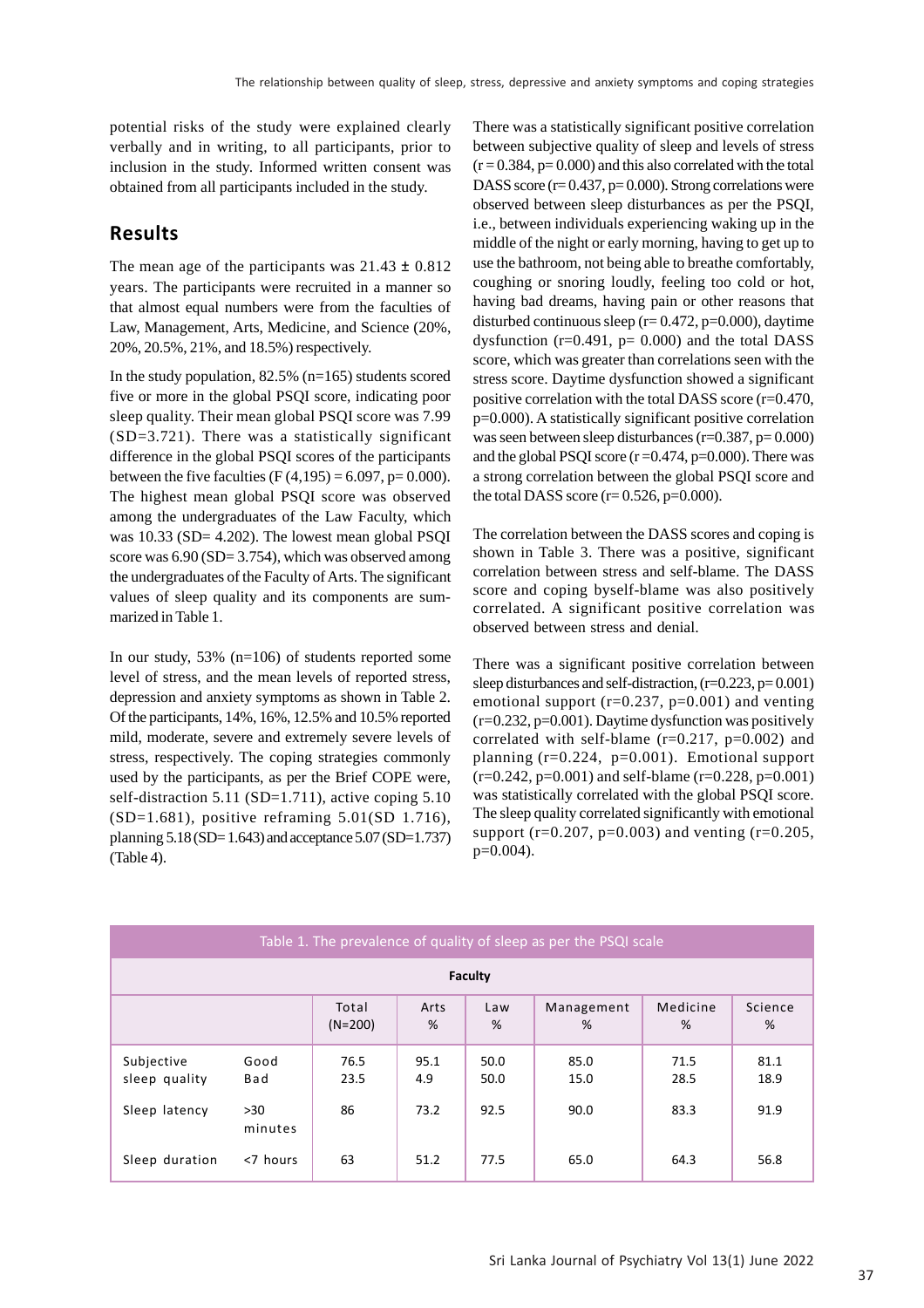potential risks of the study were explained clearly verbally and in writing, to all participants, prior to inclusion in the study. Informed written consent was obtained from all participants included in the study.

### **Results**

The mean age of the participants was  $21.43 \pm 0.812$ years. The participants were recruited in a manner so that almost equal numbers were from the faculties of Law, Management, Arts, Medicine, and Science (20%, 20%, 20.5%, 21%, and 18.5%) respectively.

In the study population,  $82.5\%$  (n=165) students scored five or more in the global PSQI score, indicating poor sleep quality. Their mean global PSQI score was 7.99  $(SD=3.721)$ . There was a statistically significant difference in the global PSQI scores of the participants between the five faculties (F $(4,195) = 6.097$ , p= 0.000). The highest mean global PSQI score was observed among the undergraduates of the Law Faculty, which was 10.33 (SD= 4.202). The lowest mean global PSQI score was  $6.90$  (SD= 3.754), which was observed among the undergraduates of the Faculty of Arts. The significant values of sleep quality and its components are summarized in Table 1.

In our study, 53% (n=106) of students reported some level of stress, and the mean levels of reported stress, depression and anxiety symptoms as shown in Table 2. Of the participants, 14%, 16%, 12.5% and 10.5% reported mild, moderate, severe and extremely severe levels of stress, respectively. The coping strategies commonly used by the participants, as per the Brief COPE were, self-distraction 5.11 (SD=1.711), active coping  $5.10$ (SD=1.681), positive reframing 5.01(SD 1.716), planning  $5.18$  (SD= 1.643) and acceptance  $5.07$  (SD=1.737) (Table 4).

There was a statistically significant positive correlation between subjective quality of sleep and levels of stress  $(r = 0.384, p = 0.000)$  and this also correlated with the total DASS score  $(r= 0.437, p= 0.000)$ . Strong correlations were observed between sleep disturbances as per the PSQI, i.e., between individuals experiencing waking up in the middle of the night or early morning, having to get up to use the bathroom, not being able to breathe comfortably, coughing or snoring loudly, feeling too cold or hot, having bad dreams, having pain or other reasons that disturbed continuous sleep  $(r= 0.472, p=0.000)$ , daytime dysfunction ( $r=0.491$ ,  $p= 0.000$ ) and the total DASS score, which was greater than correlations seen with the stress score. Daytime dysfunction showed a significant positive correlation with the total DASS score (r=0.470, p=0.000). A statistically significant positive correlation was seen between sleep disturbances (r=0.387, p= 0.000) and the global PSQI score  $(r=0.474, p=0.000)$ . There was a strong correlation between the global PSQI score and the total DASS score  $(r= 0.526, p=0.000)$ .

The correlation between the DASS scores and coping is shown in Table 3. There was a positive, significant correlation between stress and self-blame. The DASS score and coping byself-blame was also positively correlated. A significant positive correlation was observed between stress and denial.

There was a significant positive correlation between sleep disturbances and self-distraction, (r=0.223, p= 0.001) emotional support ( $r=0.237$ ,  $p=0.001$ ) and venting (r=0.232, p=0.001). Daytime dysfunction was positively correlated with self-blame  $(r=0.217, p=0.002)$  and planning  $(r=0.224, p=0.001)$ . Emotional support  $(r=0.242, p=0.001)$  and self-blame  $(r=0.228, p=0.001)$ was statistically correlated with the global PSQI score. The sleep quality correlated significantly with emotional support (r=0.207, p=0.003) and venting (r=0.205, p=0.004).

| Table 1. The prevalence of quality of sleep as per the PSQI scale |                |                    |             |              |                 |               |              |
|-------------------------------------------------------------------|----------------|--------------------|-------------|--------------|-----------------|---------------|--------------|
| <b>Faculty</b>                                                    |                |                    |             |              |                 |               |              |
|                                                                   |                | Total<br>$(N=200)$ | Arts<br>%   | Law<br>%     | Management<br>% | Medicine<br>% | Science<br>% |
| Subjective<br>sleep quality                                       | Good<br>Bad    | 76.5<br>23.5       | 95.1<br>4.9 | 50.0<br>50.0 | 85.0<br>15.0    | 71.5<br>28.5  | 81.1<br>18.9 |
| Sleep latency                                                     | >30<br>minutes | 86                 | 73.2        | 92.5         | 90.0            | 83.3          | 91.9         |
| Sleep duration                                                    | <7 hours       | 63                 | 51.2        | 77.5         | 65.0            | 64.3          | 56.8         |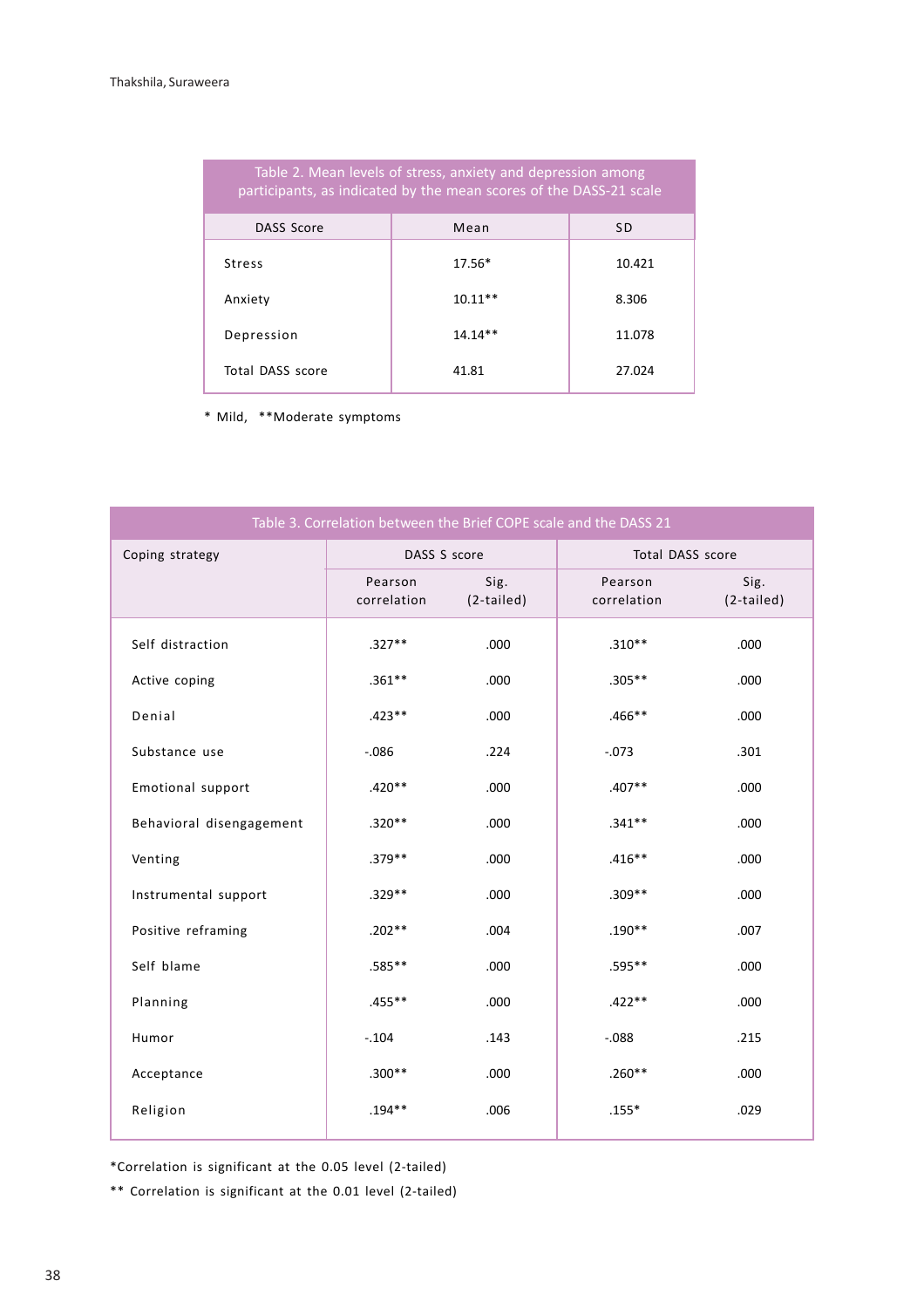| Table 2. Mean levels of stress, anxiety and depression among<br>participants, as indicated by the mean scores of the DASS-21 scale |           |        |  |  |
|------------------------------------------------------------------------------------------------------------------------------------|-----------|--------|--|--|
| DASS Score                                                                                                                         | Mean      | SD     |  |  |
| <b>Stress</b>                                                                                                                      | $17.56*$  | 10.421 |  |  |
| Anxiety                                                                                                                            | $10.11**$ | 8.306  |  |  |
| Depression                                                                                                                         | $14.14**$ | 11.078 |  |  |
| Total DASS score                                                                                                                   | 41.81     | 27.024 |  |  |

\* Mild, \*\*Moderate symptoms

| Table 3. Correlation between the Brief COPE scale and the DASS 21 |                        |                    |                        |                    |  |
|-------------------------------------------------------------------|------------------------|--------------------|------------------------|--------------------|--|
| Coping strategy                                                   | DASS S score           |                    | Total DASS score       |                    |  |
|                                                                   | Pearson<br>correlation | Sig.<br>(2-tailed) | Pearson<br>correlation | Sig.<br>(2-tailed) |  |
| Self distraction                                                  | $.327**$               | .000               | $.310**$               | .000               |  |
| Active coping                                                     | $.361**$               | .000               | $.305***$              | .000               |  |
| Denial                                                            | $.423**$               | .000               | $.466***$              | .000               |  |
| Substance use                                                     | $-0.086$               | .224               | $-.073$                | .301               |  |
| Emotional support                                                 | $.420**$               | .000               | $.407**$               | .000               |  |
| Behavioral disengagement                                          | $.320**$               | .000               | $.341**$               | .000               |  |
| Venting                                                           | $.379**$               | .000               | $.416***$              | .000               |  |
| Instrumental support                                              | $.329**$               | .000               | $.309**$               | .000               |  |
| Positive reframing                                                | $.202**$               | .004               | $.190**$               | .007               |  |
| Self blame                                                        | .585**                 | .000               | .595**                 | .000               |  |
| Planning                                                          | $.455***$              | .000               | $.422**$               | .000               |  |
| Humor                                                             | $-.104$                | .143               | $-0.088$               | .215               |  |
| Acceptance                                                        | $.300**$               | .000               | $.260**$               | .000               |  |
| Religion                                                          | $.194**$               | .006               | $.155*$                | .029               |  |

\*Correlation is significant at the 0.05 level (2-tailed)

\*\* Correlation is significant at the 0.01 level (2-tailed)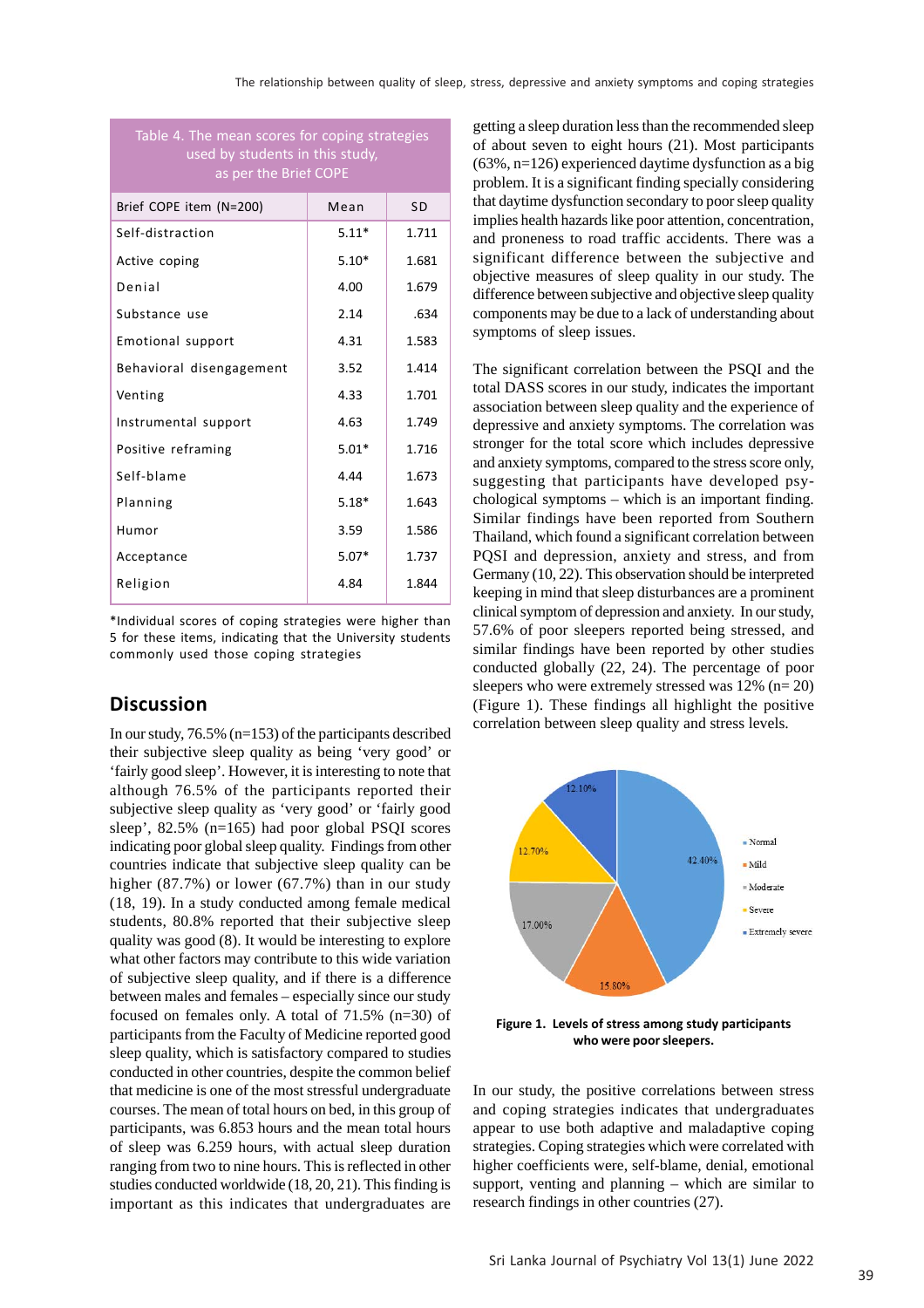| Table 4. The mean scores for coping strategies |
|------------------------------------------------|
| used by students in this study,                |
| as per the Brief COPE                          |

| Brief COPE item (N=200)  | Mean    | SD.   |
|--------------------------|---------|-------|
| Self-distraction         | $5.11*$ | 1.711 |
| Active coping            | $5.10*$ | 1.681 |
| Denial                   | 4.00    | 1.679 |
| Substance use            | 2.14    | .634  |
| Emotional support        | 4.31    | 1.583 |
| Behavioral disengagement | 3.52    | 1.414 |
| Venting                  | 4.33    | 1.701 |
| Instrumental support     | 4.63    | 1.749 |
| Positive reframing       | $5.01*$ | 1.716 |
| Self-blame               | 4.44    | 1.673 |
| Planning                 | $5.18*$ | 1.643 |
| Humor                    | 3.59    | 1.586 |
| Acceptance               | $5.07*$ | 1.737 |
| Religion                 | 4.84    | 1.844 |
|                          |         |       |

\*Individual scores of coping strategies were higher than 5 for these items, indicating that the University students commonly used those coping strategies

#### **Discussion**

In our study, 76.5% (n=153) of the participants described their subjective sleep quality as being 'very good' or 'fairly good sleep'. However, it is interesting to note that although 76.5% of the participants reported their subjective sleep quality as 'very good' or 'fairly good sleep', 82.5% (n=165) had poor global PSQI scores indicating poor global sleep quality. Findings from other countries indicate that subjective sleep quality can be higher (87.7%) or lower (67.7%) than in our study (18, 19). In a study conducted among female medical students, 80.8% reported that their subjective sleep quality was good (8). It would be interesting to explore what other factors may contribute to this wide variation of subjective sleep quality, and if there is a difference between males and females – especially since our study focused on females only. A total of 71.5% (n=30) of participants from the Faculty of Medicine reported good sleep quality, which is satisfactory compared to studies conducted in other countries, despite the common belief that medicine is one of the most stressful undergraduate courses. The mean of total hours on bed, in this group of participants, was 6.853 hours and the mean total hours of sleep was 6.259 hours, with actual sleep duration ranging from two to nine hours. This is reflected in other studies conducted worldwide (18, 20, 21). This finding is important as this indicates that undergraduates are getting a sleep duration less than the recommended sleep of about seven to eight hours (21). Most participants  $(63\%, n=126)$  experienced daytime dysfunction as a big problem. It is a significant finding specially considering that daytime dysfunction secondary to poor sleep quality implies health hazards like poor attention, concentration, and proneness to road traffic accidents. There was a significant difference between the subjective and objective measures of sleep quality in our study. The difference between subjective and objective sleep quality components may be due to a lack of understanding about symptoms of sleep issues.

The significant correlation between the PSQI and the total DASS scores in our study, indicates the important association between sleep quality and the experience of depressive and anxiety symptoms. The correlation was stronger for the total score which includes depressive and anxiety symptoms, compared to the stress score only, suggesting that participants have developed psychological symptoms – which is an important finding. Similar findings have been reported from Southern Thailand, which found a significant correlation between PQSI and depression, anxiety and stress, and from Germany (10, 22). This observation should be interpreted keeping in mind that sleep disturbances are a prominent clinical symptom of depression and anxiety. In our study, 57.6% of poor sleepers reported being stressed, and similar findings have been reported by other studies conducted globally (22, 24). The percentage of poor sleepers who were extremely stressed was 12% (n= 20) (Figure 1). These findings all highlight the positive correlation between sleep quality and stress levels.



**Figure 1. Levels of stress among study participants who were poor sleepers.**

In our study, the positive correlations between stress and coping strategies indicates that undergraduates appear to use both adaptive and maladaptive coping strategies. Coping strategies which were correlated with higher coefficients were, self-blame, denial, emotional support, venting and planning – which are similar to research findings in other countries (27).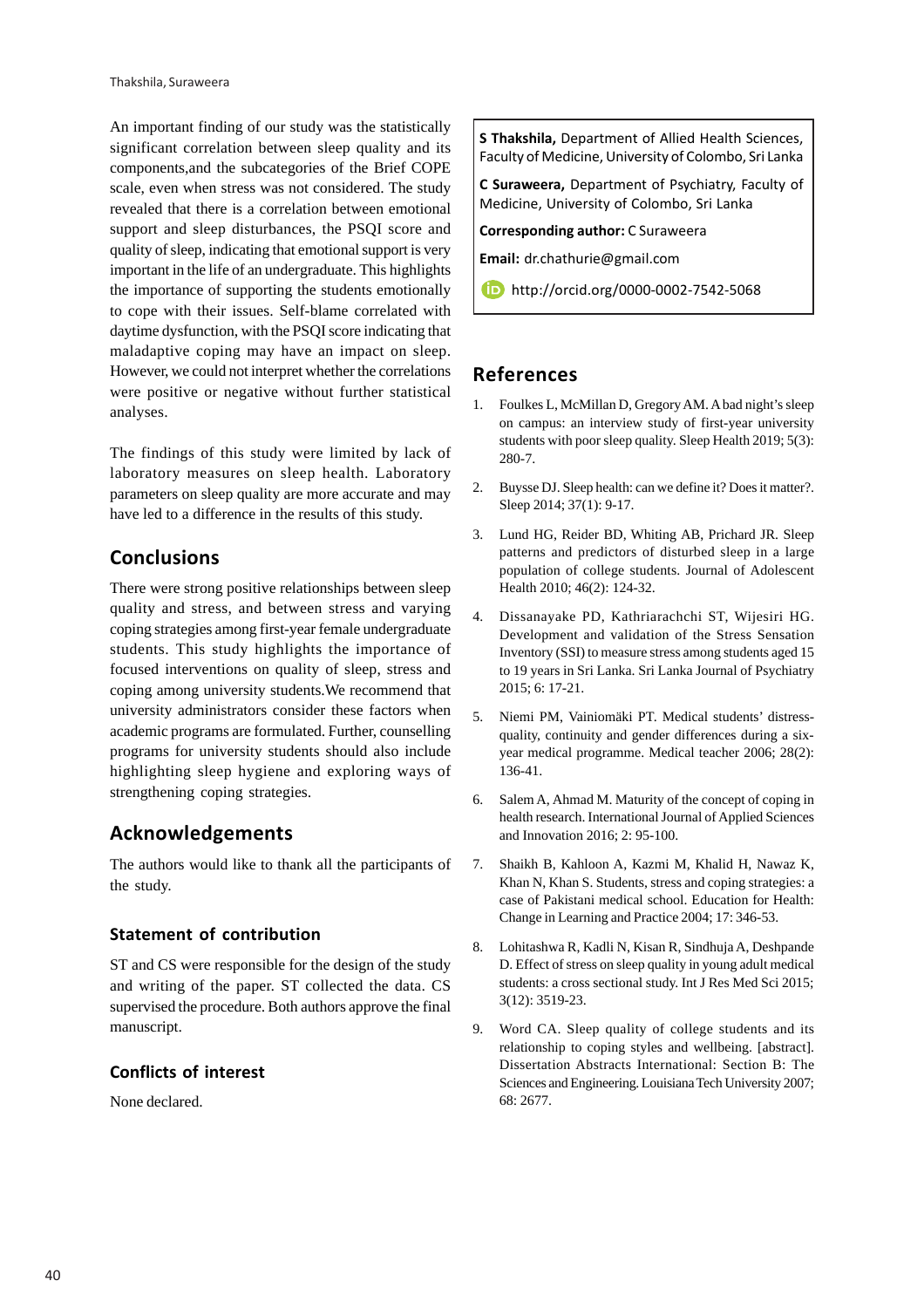An important finding of our study was the statistically significant correlation between sleep quality and its components,and the subcategories of the Brief COPE scale, even when stress was not considered. The study revealed that there is a correlation between emotional support and sleep disturbances, the PSQI score and quality of sleep, indicating that emotional support is very important in the life of an undergraduate. This highlights the importance of supporting the students emotionally to cope with their issues. Self-blame correlated with daytime dysfunction, with the PSQI score indicating that maladaptive coping may have an impact on sleep. However, we could not interpret whether the correlations were positive or negative without further statistical analyses.

The findings of this study were limited by lack of laboratory measures on sleep health. Laboratory parameters on sleep quality are more accurate and may have led to a difference in the results of this study.

# **Conclusions**

There were strong positive relationships between sleep quality and stress, and between stress and varying coping strategies among first-year female undergraduate students. This study highlights the importance of focused interventions on quality of sleep, stress and coping among university students.We recommend that university administrators consider these factors when academic programs are formulated. Further, counselling programs for university students should also include highlighting sleep hygiene and exploring ways of strengthening coping strategies.

# **Acknowledgements**

The authors would like to thank all the participants of the study.

### **Statement of contribution**

ST and CS were responsible for the design of the study and writing of the paper. ST collected the data. CS supervised the procedure. Both authors approve the final manuscript.

### **Conflicts of interest**

None declared.

**S Thakshila,** Department of Allied Health Sciences, Faculty of Medicine, University of Colombo, Sri Lanka

**C Suraweera,** Department of Psychiatry, Faculty of Medicine, University of Colombo, Sri Lanka

**Corresponding author:** C Suraweera

**Email:** dr.chathurie@gmail.com

http://orcid.org/0000-0002-7542-5068

# **References**

- 1. Foulkes L, McMillan D, Gregory AM. A bad night's sleep on campus: an interview study of first-year university students with poor sleep quality. Sleep Health 2019; 5(3): 280-7.
- 2. Buysse DJ. Sleep health: can we define it? Does it matter?. Sleep 2014; 37(1): 9-17.
- 3. Lund HG, Reider BD, Whiting AB, Prichard JR. Sleep patterns and predictors of disturbed sleep in a large population of college students. Journal of Adolescent Health 2010; 46(2): 124-32.
- 4. Dissanayake PD, Kathriarachchi ST, Wijesiri HG. Development and validation of the Stress Sensation Inventory (SSI) to measure stress among students aged 15 to 19 years in Sri Lanka. Sri Lanka Journal of Psychiatry 2015; 6: 17-21.
- 5. Niemi PM, Vainiomäki PT. Medical students' distressquality, continuity and gender differences during a sixyear medical programme. Medical teacher 2006; 28(2): 136-41.
- 6. Salem A, Ahmad M. Maturity of the concept of coping in health research. International Journal of Applied Sciences and Innovation 2016; 2: 95-100.
- 7. Shaikh B, Kahloon A, Kazmi M, Khalid H, Nawaz K, Khan N, Khan S. Students, stress and coping strategies: a case of Pakistani medical school. Education for Health: Change in Learning and Practice 2004; 17: 346-53.
- 8. Lohitashwa R, Kadli N, Kisan R, Sindhuja A, Deshpande D. Effect of stress on sleep quality in young adult medical students: a cross sectional study. Int J Res Med Sci 2015; 3(12): 3519-23.
- 9. Word CA. Sleep quality of college students and its relationship to coping styles and wellbeing. [abstract]. Dissertation Abstracts International: Section B: The Sciences and Engineering. Louisiana Tech University 2007; 68: 2677.